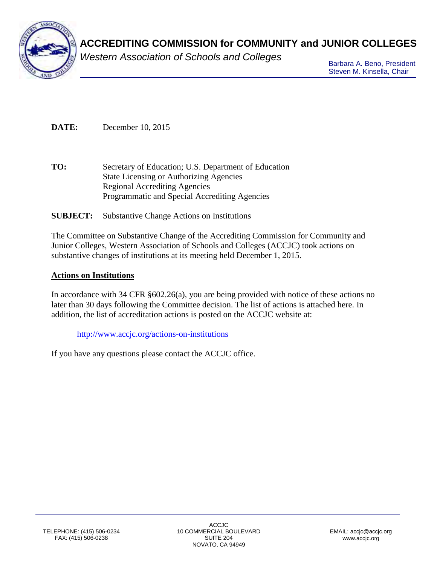

# **ACCREDITING COMMISSION for COMMUNITY and JUNIOR COLLEGES**

*Western Association of Schools and Colleges*

Barbara A. Beno, President Steven M. Kinsella, Chair

**DATE:** December 10, 2015

**TO:** Secretary of Education; U.S. Department of Education State Licensing or Authorizing Agencies Regional Accrediting Agencies Programmatic and Special Accrediting Agencies

## **SUBJECT:** Substantive Change Actions on Institutions

The Committee on Substantive Change of the Accrediting Commission for Community and Junior Colleges, Western Association of Schools and Colleges (ACCJC) took actions on substantive changes of institutions at its meeting held December 1, 2015.

### **Actions on Institutions**

In accordance with 34 CFR §602.26(a), you are being provided with notice of these actions no later than 30 days following the Committee decision. The list of actions is attached here. In addition, the list of accreditation actions is posted on the ACCJC website at:

<http://www.accjc.org/actions-on-institutions>

If you have any questions please contact the ACCJC office.

ACCJC 10 COMMERCIAL BOULEVARD SUITE 204 NOVATO, CA 94949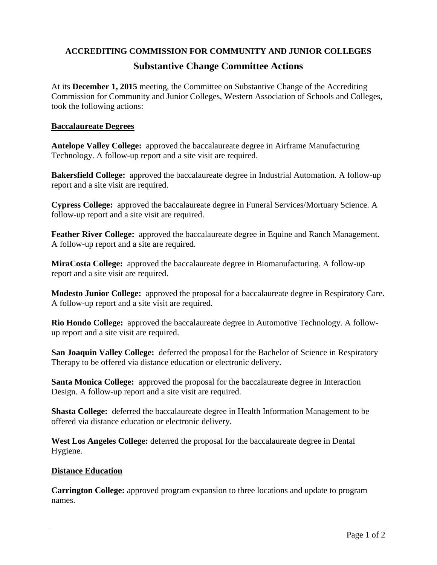## **ACCREDITING COMMISSION FOR COMMUNITY AND JUNIOR COLLEGES Substantive Change Committee Actions**

At its **December 1, 2015** meeting, the Committee on Substantive Change of the Accrediting Commission for Community and Junior Colleges, Western Association of Schools and Colleges, took the following actions:

#### **Baccalaureate Degrees**

**Antelope Valley College:** approved the baccalaureate degree in Airframe Manufacturing Technology. A follow-up report and a site visit are required.

**Bakersfield College:** approved the baccalaureate degree in Industrial Automation. A follow-up report and a site visit are required.

**Cypress College:** approved the baccalaureate degree in Funeral Services/Mortuary Science. A follow-up report and a site visit are required.

**Feather River College:** approved the baccalaureate degree in Equine and Ranch Management. A follow-up report and a site are required.

**MiraCosta College:** approved the baccalaureate degree in Biomanufacturing. A follow-up report and a site visit are required.

**Modesto Junior College:** approved the proposal for a baccalaureate degree in Respiratory Care. A follow-up report and a site visit are required.

**Rio Hondo College:** approved the baccalaureate degree in Automotive Technology. A followup report and a site visit are required.

**San Joaquin Valley College:** deferred the proposal for the Bachelor of Science in Respiratory Therapy to be offered via distance education or electronic delivery.

**Santa Monica College:** approved the proposal for the baccalaureate degree in Interaction Design. A follow-up report and a site visit are required.

**Shasta College:** deferred the baccalaureate degree in Health Information Management to be offered via distance education or electronic delivery.

**West Los Angeles College:** deferred the proposal for the baccalaureate degree in Dental Hygiene.

#### **Distance Education**

**Carrington College:** approved program expansion to three locations and update to program names.